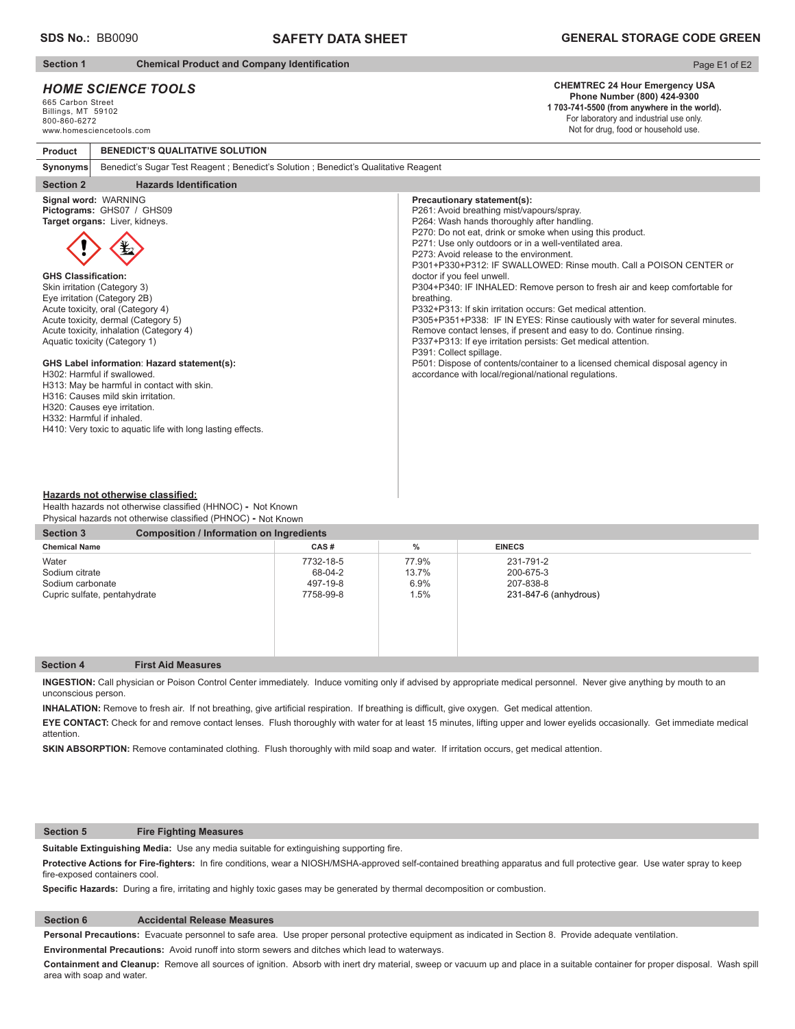# **SAFETY DATA SHEET**

**Section 1** Chemical Product and Company Identification

**BENEDICT'S QUALITATIVE SOLUTION**

# *HOME SCIENCE TOOLS*

665 Carbon Street Billings, MT 59102 800-860-6272 www.homesciencetools.com

**Product**

#### Page E1 of E2

#### **CHEMTREC 24 Hour Emergency USA Phone Number (800) 424-9300**

**1 703-741-5500 (from anywhere in the world).** For laboratory and industrial use only. Not for drug, food or household use.

| Benedict's Sugar Test Reagent; Benedict's Solution; Benedict's Qualitative Reagent<br>Synonyms                                                                                                                                                                                                                                                                                                                                                                                                                                                                                                                                          |                                                                                                                                                                                                                                                                                                                                                                                                                                                                                                                                                                                                                                                                                                                                                                                                                                                                                                                                                      |  |  |  |
|-----------------------------------------------------------------------------------------------------------------------------------------------------------------------------------------------------------------------------------------------------------------------------------------------------------------------------------------------------------------------------------------------------------------------------------------------------------------------------------------------------------------------------------------------------------------------------------------------------------------------------------------|------------------------------------------------------------------------------------------------------------------------------------------------------------------------------------------------------------------------------------------------------------------------------------------------------------------------------------------------------------------------------------------------------------------------------------------------------------------------------------------------------------------------------------------------------------------------------------------------------------------------------------------------------------------------------------------------------------------------------------------------------------------------------------------------------------------------------------------------------------------------------------------------------------------------------------------------------|--|--|--|
| <b>Hazards Identification</b><br><b>Section 2</b>                                                                                                                                                                                                                                                                                                                                                                                                                                                                                                                                                                                       |                                                                                                                                                                                                                                                                                                                                                                                                                                                                                                                                                                                                                                                                                                                                                                                                                                                                                                                                                      |  |  |  |
| Signal word: WARNING<br>Pictograms: GHS07 / GHS09<br>Target organs: Liver, kidneys.<br><b>GHS Classification:</b><br>Skin irritation (Category 3)<br>Eye irritation (Category 2B)<br>Acute toxicity, oral (Category 4)<br>Acute toxicity, dermal (Category 5)<br>Acute toxicity, inhalation (Category 4)<br>Aquatic toxicity (Category 1)<br>GHS Label information: Hazard statement(s):<br>H302: Harmful if swallowed.<br>H313: May be harmful in contact with skin.<br>H316: Causes mild skin irritation.<br>H320: Causes eye irritation.<br>H332: Harmful if inhaled.<br>H410: Very toxic to aquatic life with long lasting effects. | Precautionary statement(s):<br>P261: Avoid breathing mist/vapours/spray.<br>P264: Wash hands thoroughly after handling.<br>P270: Do not eat, drink or smoke when using this product.<br>P271: Use only outdoors or in a well-ventilated area.<br>P273: Avoid release to the environment.<br>P301+P330+P312: IF SWALLOWED: Rinse mouth, Call a POISON CENTER or<br>doctor if you feel unwell.<br>P304+P340: IF INHALED: Remove person to fresh air and keep comfortable for<br>breathing.<br>P332+P313: If skin irritation occurs: Get medical attention.<br>P305+P351+P338: IF IN EYES: Rinse cautiously with water for several minutes.<br>Remove contact lenses, if present and easy to do. Continue rinsing.<br>P337+P313: If eye irritation persists: Get medical attention.<br>P391: Collect spillage.<br>P501: Dispose of contents/container to a licensed chemical disposal agency in<br>accordance with local/regional/national regulations. |  |  |  |

#### **Hazards not otherwise classified:**

Health hazards not otherwise classified (HHNOC) - Not Known Physical hazards not otherwise classified (PHNOC) **-** Not Known

| <b>Composition / Information on Ingredients</b><br><b>Section 3</b> |       |                       |  |  |
|---------------------------------------------------------------------|-------|-----------------------|--|--|
| CAS#                                                                | %     | <b>EINECS</b>         |  |  |
| 7732-18-5                                                           | 77.9% | 231-791-2             |  |  |
| 68-04-2                                                             | 13.7% | 200-675-3             |  |  |
| 497-19-8                                                            | 6.9%  | 207-838-8             |  |  |
| 7758-99-8                                                           | 1.5%  | 231-847-6 (anhydrous) |  |  |
|                                                                     |       |                       |  |  |
|                                                                     |       |                       |  |  |
|                                                                     |       |                       |  |  |
|                                                                     |       |                       |  |  |

#### **Section 4 First Aid Measures**

**INGESTION:** Call physician or Poison Control Center immediately. Induce vomiting only if advised by appropriate medical personnel.Never give anything by mouth to an unconscious person.

INHALATION: Remove to fresh air. If not breathing, give artificial respiration. If breathing is difficult, give oxygen. Get medical attention.

**EYE CONTACT:** Check for and remove contact lenses. Flush thoroughly with water for at least 15 minutes, lifting upper and lower eyelids occasionally. Get immediate medical attention.

**SKIN ABSORPTION:** Remove contaminated clothing. Flush thoroughly with mild soap and water. If irritation occurs, get medical attention.

## **Section 5 Fire Fighting Measures**

Suitable Extinguishing Media: Use any media suitable for extinguishing supporting fire.

Protective Actions for Fire-fighters: In fire conditions, wear a NIOSH/MSHA-approved self-contained breathing apparatus and full protective gear. Use water spray to keep fire-exposed containers cool.

Specific Hazards: During a fire, irritating and highly toxic gases may be generated by thermal decomposition or combustion.

#### **Section 6 Accidental Release Measures**

**Personal Precautions:** Evacuate personnel to safe area. Use proper personal protective equipment as indicated in Section 8. Provide adequate ventilation.

**Environmental Precautions:** Avoid runoff into storm sewers and ditches which lead to waterways.

**Containment and Cleanup:** Remove all sources of ignition. Absorb with inert dry material, sweep or vacuum up and place in a suitable container for proper disposal. Wash spill area with soap and water.